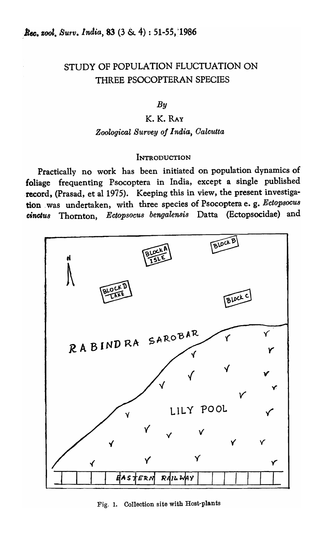# STUDY OF POPULATION FLUCTUATION ON THREE PSOCOPTERAN SPECIES

## *By*

# K. K. RAY

### *Zoological Survey oj* 1 *nd,ia, Oalcutta*

#### **INTRODUCTION**

Practically no work has been initiated on population dynamics of foliage frequenting Psocoptera in India, except a single published record, (Prasad, et al 1975). Keeping this in view, the present investigation was undertaken, with three species of Psocoptera e. g. Ectopsocus cinctu8 Thornton, EctOPSOCU8 *bengalensis* Datta (Ectopsocidae) and



Fig. 1. Collection site with Host-plants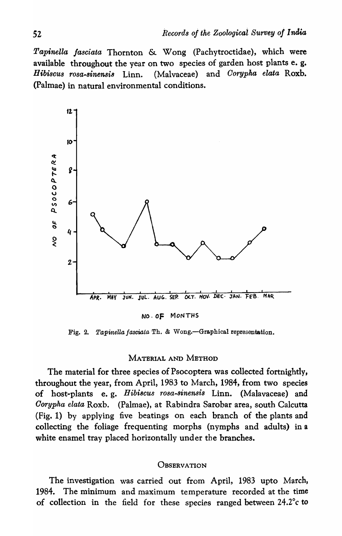*Tapinella jasciata* Thornton & Wong (Pachytroctidae), which were available throughout the year on two species of garden host plants e. g. *Hibiscus rosa-sinensis* Linn. (Malvaceae) and *Oorypha elata* Roxb. (Palmae) in natural environmental conditions.



NO. OF MoNTHS

Fig. 2. *Tapinella fasciata* Th. & Wong.—Graphical representation.

#### MATERIAL AND METHOD

The material for three species of Psocoptera was collected fortnightly, throughout the year, from April, 1983 to March, 1984, from two species of host-plants e. g. *Hibiscus rosa-sinensis* Linn. (Malavaceae) and *Oorypha elata* Roxb. (Palmae), at Rabindra Sarobar area, south Calcutta (Fig. 1) by applying five beatings on each branch of the plants and collecting the foliage frequenting morphs (nymphs and adults) in a white enamel tray placed horizontally under the branches.

### **OBSERVATION**

The investigation was carried out from April, 1983 upto March, 1984. The minimum and maximum temperature recorded at the time of collection in the field for these species ranged between 24.2°c to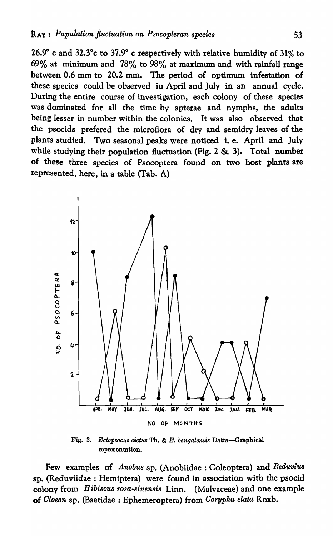26.9° c and 32.3°c to 37.9° c respectively with relative humidity of 31% to 69% at minimum and 78% to 98% at maximum and with rainfall range between 0.6 mm to 20.2 mm. The period of optimum infestation of these species could be observed in April and July in an annual cycle. During the entire course of investigation, each colony of these species was dominated for all the time by apterae and nymphs, the adults being lesser in number within the colonies. It was also observed that the psocids prefered the microflora of dry and semidry leaves of the plants studied. Two seasonal peaks were noticed i. e. April and July while studying their population fluctuation (Fig.  $2 \& 3$ ). Total number of these three species of Psocoptera found on two host plants are represented, here, in a table (Tab. A)



Fig. 3. *Ectopsocus cictus* Th. & *E. bengalensis* Datta-Graphical representation,

Few examples of *Anobus* sp. (Anobiidae : Coleoptera) and Reduvius sp. (Reduviidae: Hemiptera) were found in association with the psocid colony from *Hibiscus rosa-s'inensis* Linn. (Malvaceae) and one example of *Oloeon* sp. (Baetidae : Ephemeroptera) from *Oorypha elata* Roxb.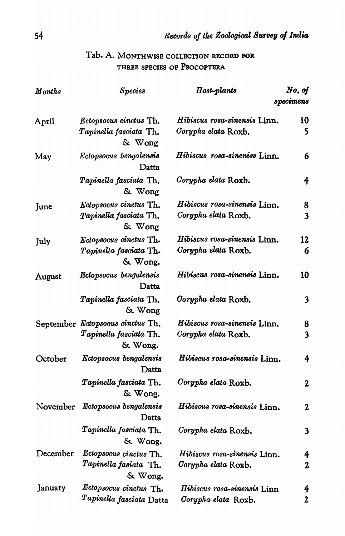| $\bm{M}$ onths | $\emph{Species}$                                                        | Host-plants                                         | No. of<br>specimens             |
|----------------|-------------------------------------------------------------------------|-----------------------------------------------------|---------------------------------|
| April          | Ectopsocus cinctus Th.<br>Tapinella fasciata Th.<br>$\&$ Wong           | Hibiscus rosa-sinensis Linn.<br>Corypha elata Roxb. | 10<br>5                         |
| May            | <i>Ectopsocus bengalensis</i><br>Datta                                  | Hibiscus rosa-sineniss Linn.                        | 6                               |
|                | Tapinella fasciata Th.<br>& Wong                                        | Corypha elata Roxb.                                 | 4                               |
| June           | Ectopsocus cinetus Th.<br>Tapinella fasciata Th.<br>$&$ Wong            | Hibiscus rosa-sinensis Linn.<br>Corypha elata Roxb. | 8<br>$\overline{\mathbf{3}}$    |
| July           | Ectopsocus cinctus Th.<br>Tapinella fasciata Th.<br>& Wong.             | Hibiscus rosa-sinensis Linn.<br>Corypha elata Roxb. | 12<br>6                         |
| August         | Ectopsocus bengalensis<br>Datta                                         | Hibiscus rosa-sinensis Linn.                        | 10                              |
|                | Tapinella fasciata Th.<br>& Wong                                        | Corypha elata Roxb.                                 | $\mathbf{3}$                    |
|                | September Ectopsocus cinctus Th.<br>$Tapinella$ fasciata Th.<br>& Wong. | Hibiscus rosa-sinensis Linn.<br>Corypha elata Roxb. | 8<br>$\overline{\mathbf{3}}$    |
| October        | <i>Ectopsocus bengalensis</i><br>Datta                                  | Hibiscus rosa-sinensis Linn.                        | 4                               |
|                | Tapinella fasciata Th.<br>& Wong.                                       | Corypha elata Roxb.                                 | $\boldsymbol{2}$                |
| November       | Ectopsocus bengalensis<br>Datta                                         | Hibiscus rosa-sinensis Linn.                        | $\boldsymbol{2}$                |
|                | Tapinella fasciata Th.<br>& Wong.                                       | Corypha elata Roxb.                                 | 3                               |
| December       | Ectopsocus cinctus Th.<br>Tapinella fasiata Th.<br>& Wong.              | Hibiscus rosa-sinensis Linn.<br>Corypha elata Roxb. | 4<br>$\mathbf{2}$               |
| January        | Ectopsocus cinctus Th.<br>Tapinella fasciata Datta                      | Hibiscus rosa-sinensis Linn<br>Corypha elata Roxb.  | $\frac{4}{\pi}$<br>$\mathbf{2}$ |

# Tab. A. MONTHWlSE COLLECTION RECORD FOR THREE SPECIES OF PSOCOPTBRA